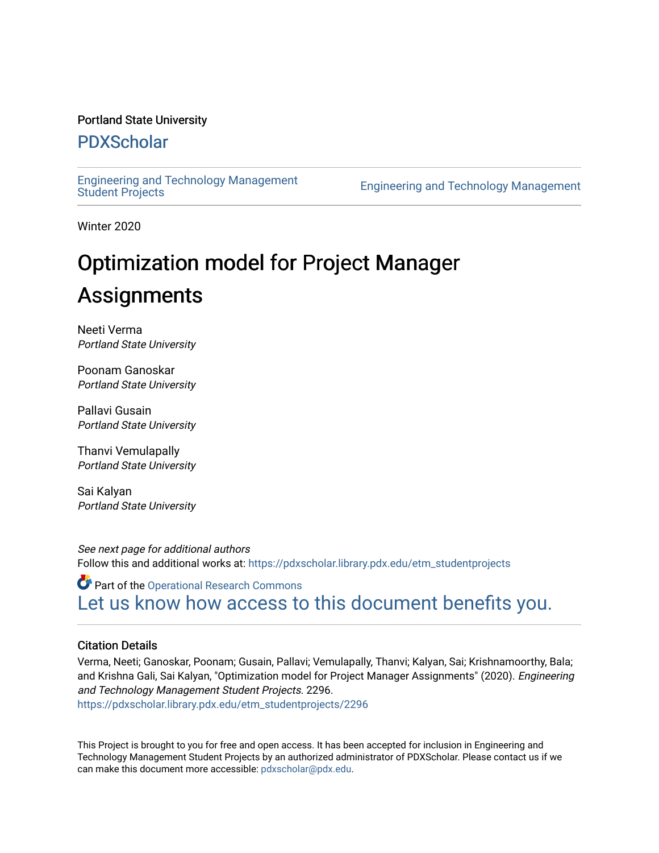#### Portland State University

#### [PDXScholar](https://pdxscholar.library.pdx.edu/)

[Engineering and Technology Management](https://pdxscholar.library.pdx.edu/etm_studentprojects) 

Engineering and Technology Management

Winter 2020

# Optimization model for Project Manager Assignments

Neeti Verma Portland State University

Poonam Ganoskar Portland State University

Pallavi Gusain Portland State University

Thanvi Vemulapally Portland State University

Sai Kalyan Portland State University

See next page for additional authors Follow this and additional works at: [https://pdxscholar.library.pdx.edu/etm\\_studentprojects](https://pdxscholar.library.pdx.edu/etm_studentprojects?utm_source=pdxscholar.library.pdx.edu%2Fetm_studentprojects%2F2296&utm_medium=PDF&utm_campaign=PDFCoverPages) 

Part of the [Operational Research Commons](http://network.bepress.com/hgg/discipline/308?utm_source=pdxscholar.library.pdx.edu%2Fetm_studentprojects%2F2296&utm_medium=PDF&utm_campaign=PDFCoverPages)  [Let us know how access to this document benefits you.](http://library.pdx.edu/services/pdxscholar-services/pdxscholar-feedback/?ref=https://pdxscholar.library.pdx.edu/etm_studentprojects/2296) 

#### Citation Details

Verma, Neeti; Ganoskar, Poonam; Gusain, Pallavi; Vemulapally, Thanvi; Kalyan, Sai; Krishnamoorthy, Bala; and Krishna Gali, Sai Kalyan, "Optimization model for Project Manager Assignments" (2020). Engineering and Technology Management Student Projects. 2296. [https://pdxscholar.library.pdx.edu/etm\\_studentprojects/2296](https://pdxscholar.library.pdx.edu/etm_studentprojects/2296?utm_source=pdxscholar.library.pdx.edu%2Fetm_studentprojects%2F2296&utm_medium=PDF&utm_campaign=PDFCoverPages)

This Project is brought to you for free and open access. It has been accepted for inclusion in Engineering and Technology Management Student Projects by an authorized administrator of PDXScholar. Please contact us if we can make this document more accessible: [pdxscholar@pdx.edu.](mailto:pdxscholar@pdx.edu)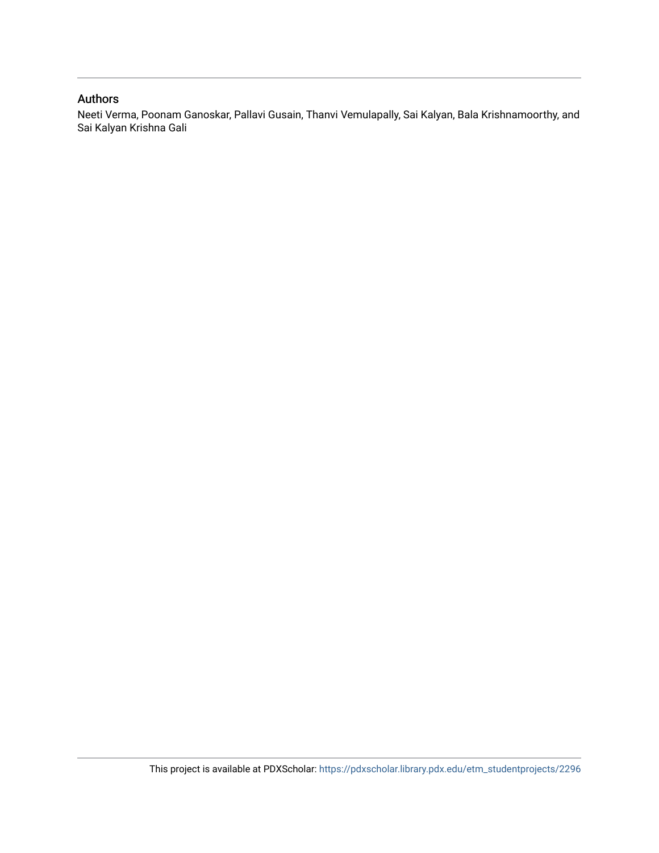#### Authors

Neeti Verma, Poonam Ganoskar, Pallavi Gusain, Thanvi Vemulapally, Sai Kalyan, Bala Krishnamoorthy, and Sai Kalyan Krishna Gali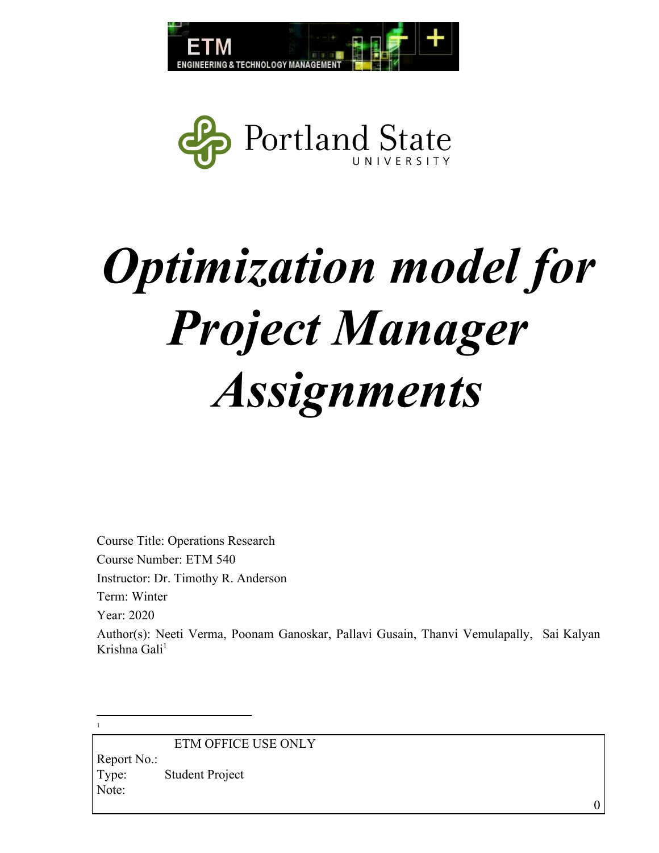



# *Optimization model for Project Manager Assignments*

Course Title: Operations Research Course Number: ETM 540 Instructor: Dr. Timothy R. Anderson Term: Winter Year: 2020 Author(s): Neeti Verma, Poonam Ganoskar, Pallavi Gusain, Thanvi Vemulapally, Sai Kalyan Krishna Gali<sup>1</sup>

ETM OFFICE USE ONLY Report No.: Type: Student Project Note:

1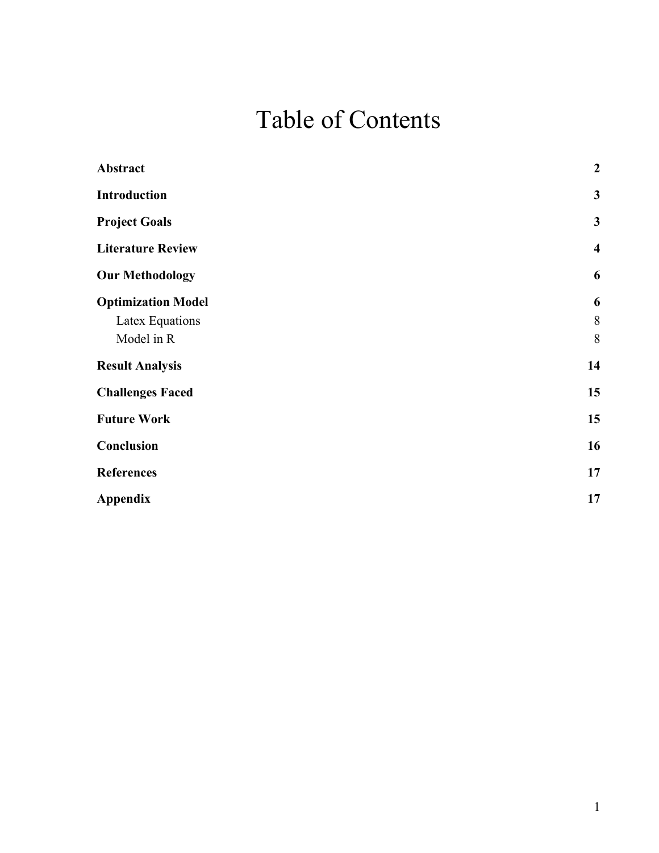# Table of Contents

<span id="page-3-0"></span>

| Abstract                  | $\boldsymbol{2}$        |
|---------------------------|-------------------------|
| <b>Introduction</b>       | $\mathbf{3}$            |
| <b>Project Goals</b>      | $\mathbf{3}$            |
| <b>Literature Review</b>  | $\overline{\mathbf{4}}$ |
| <b>Our Methodology</b>    | 6                       |
| <b>Optimization Model</b> | 6                       |
| Latex Equations           | 8                       |
| Model in R                | 8                       |
| <b>Result Analysis</b>    | 14                      |
| <b>Challenges Faced</b>   | 15                      |
| <b>Future Work</b>        | 15                      |
| Conclusion                | 16                      |
| <b>References</b>         | 17                      |
| <b>Appendix</b>           | 17                      |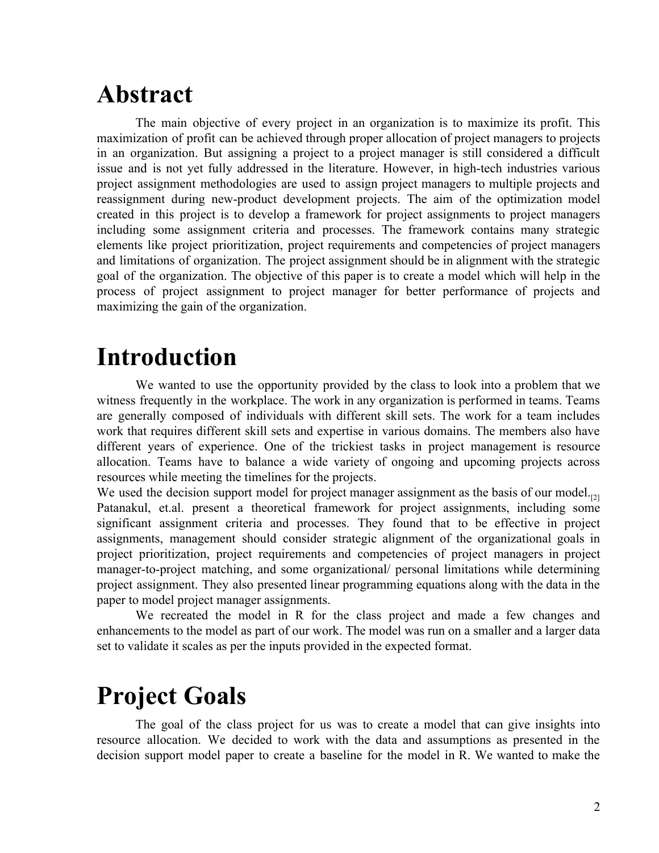## **Abstract**

The main objective of every project in an organization is to maximize its profit. This maximization of profit can be achieved through proper allocation of project managers to projects in an organization. But assigning a project to a project manager is still considered a difficult issue and is not yet fully addressed in the literature. However, in high-tech industries various project assignment methodologies are used to assign project managers to multiple projects and reassignment during new-product development projects. The aim of the optimization model created in this project is to develop a framework for project assignments to project managers including some assignment criteria and processes. The framework contains many strategic elements like project prioritization, project requirements and competencies of project managers and limitations of organization. The project assignment should be in alignment with the strategic goal of the organization. The objective of this paper is to create a model which will help in the process of project assignment to project manager for better performance of projects and maximizing the gain of the organization.

# <span id="page-4-0"></span>**Introduction**

We wanted to use the opportunity provided by the class to look into a problem that we witness frequently in the workplace. The work in any organization is performed in teams. Teams are generally composed of individuals with different skill sets. The work for a team includes work that requires different skill sets and expertise in various domains. The members also have different years of experience. One of the trickiest tasks in project management is resource allocation. Teams have to balance a wide variety of ongoing and upcoming projects across resources while meeting the timelines for the projects.

We used the decision support model for project manager assignment as the basis of our model. $_{22}$ Patanakul, et.al. present a theoretical framework for project assignments, including some significant assignment criteria and processes. They found that to be effective in project assignments, management should consider strategic alignment of the organizational goals in project prioritization, project requirements and competencies of project managers in project manager-to-project matching, and some organizational/ personal limitations while determining project assignment. They also presented linear programming equations along with the data in the paper to model project manager assignments.

We recreated the model in R for the class project and made a few changes and enhancements to the model as part of our work. The model was run on a smaller and a larger data set to validate it scales as per the inputs provided in the expected format.

# <span id="page-4-1"></span>**Project Goals**

The goal of the class project for us was to create a model that can give insights into resource allocation. We decided to work with the data and assumptions as presented in the decision support model paper to create a baseline for the model in R. We wanted to make the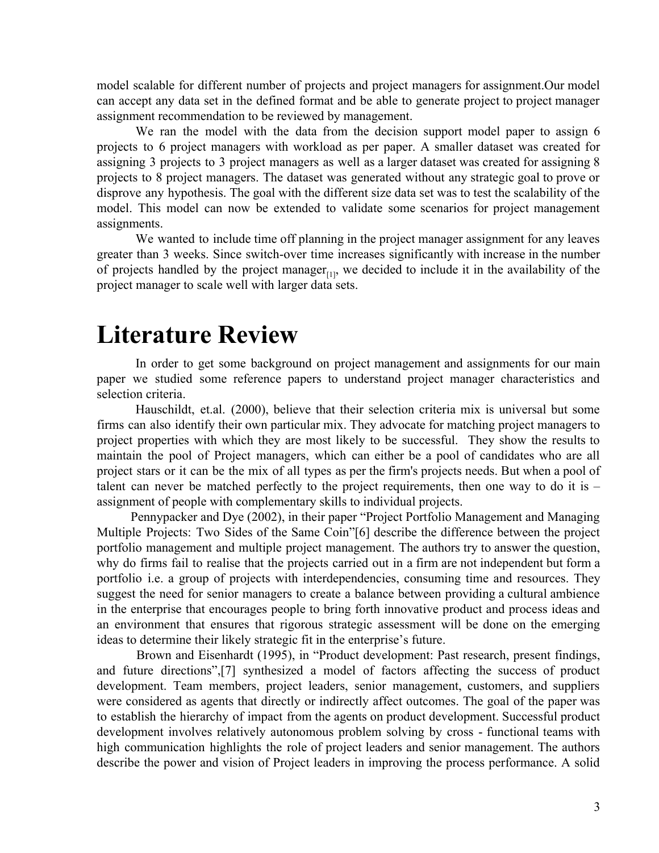model scalable for different number of projects and project managers for assignment.Our model can accept any data set in the defined format and be able to generate project to project manager assignment recommendation to be reviewed by management.

We ran the model with the data from the decision support model paper to assign 6 projects to 6 project managers with workload as per paper. A smaller dataset was created for assigning 3 projects to 3 project managers as well as a larger dataset was created for assigning 8 projects to 8 project managers. The dataset was generated without any strategic goal to prove or disprove any hypothesis. The goal with the different size data set was to test the scalability of the model. This model can now be extended to validate some scenarios for project management assignments.

We wanted to include time off planning in the project manager assignment for any leaves greater than 3 weeks. Since switch-over time increases significantly with increase in the number of projects handled by the project manager $_{[1]}$ , we decided to include it in the availability of the project manager to scale well with larger data sets.

### <span id="page-5-0"></span>**Literature Review**

In order to get some background on project management and assignments for our main paper we studied some reference papers to understand project manager characteristics and selection criteria.

Hauschildt, et.al. (2000), believe that their selection criteria mix is universal but some firms can also identify their own particular mix. They advocate for matching project managers to project properties with which they are most likely to be successful. They show the results to maintain the pool of Project managers, which can either be a pool of candidates who are all project stars or it can be the mix of all types as per the firm's projects needs. But when a pool of talent can never be matched perfectly to the project requirements, then one way to do it is – assignment of people with complementary skills to individual projects.

Pennypacker and Dye (2002), in their paper "Project Portfolio Management and Managing Multiple Projects: Two Sides of the Same Coin"[6] describe the difference between the project portfolio management and multiple project management. The authors try to answer the question, why do firms fail to realise that the projects carried out in a firm are not independent but form a portfolio i.e. a group of projects with interdependencies, consuming time and resources. They suggest the need for senior managers to create a balance between providing a cultural ambience in the enterprise that encourages people to bring forth innovative product and process ideas and an environment that ensures that rigorous strategic assessment will be done on the emerging ideas to determine their likely strategic fit in the enterprise's future.

Brown and Eisenhardt (1995), in "Product development: Past research, present findings, and future directions",[7] synthesized a model of factors affecting the success of product development. Team members, project leaders, senior management, customers, and suppliers were considered as agents that directly or indirectly affect outcomes. The goal of the paper was to establish the hierarchy of impact from the agents on product development. Successful product development involves relatively autonomous problem solving by cross - functional teams with high communication highlights the role of project leaders and senior management. The authors describe the power and vision of Project leaders in improving the process performance. A solid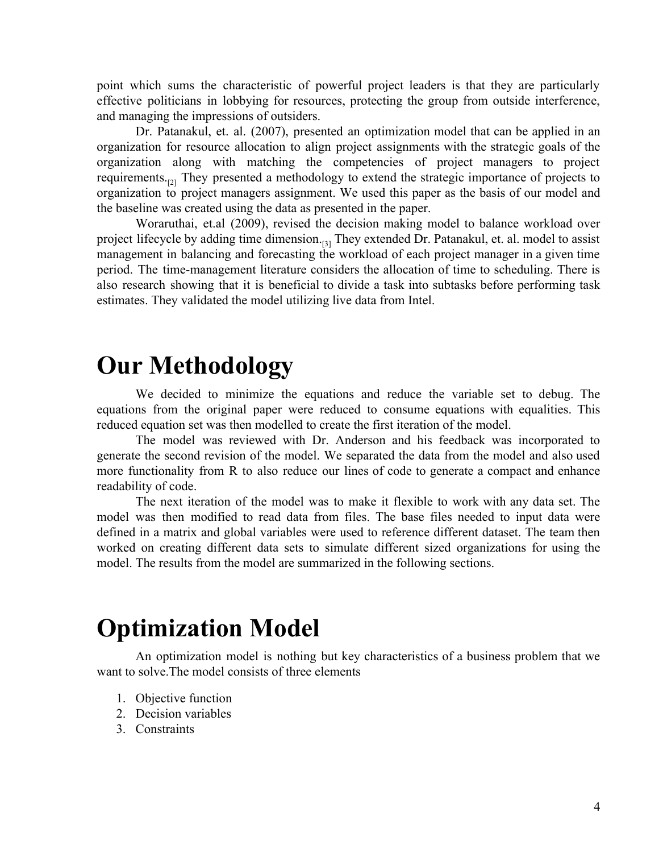point which sums the characteristic of powerful project leaders is that they are particularly effective politicians in lobbying for resources, protecting the group from outside interference, and managing the impressions of outsiders.

Dr. Patanakul, et. al. (2007), presented an optimization model that can be applied in an organization for resource allocation to align project assignments with the strategic goals of the organization along with matching the competencies of project managers to project requirements.<sup>[2]</sup> They presented a methodology to extend the strategic importance of projects to organization to project managers assignment. We used this paper as the basis of our model and the baseline was created using the data as presented in the paper.

Woraruthai, et.al (2009), revised the decision making model to balance workload over project lifecycle by adding time dimension.<sup>[3]</sup> They extended Dr. Patanakul, et. al. model to assist management in balancing and forecasting the workload of each project manager in a given time period. The time-management literature considers the allocation of time to scheduling. There is also research showing that it is beneficial to divide a task into subtasks before performing task estimates. They validated the model utilizing live data from Intel.

### <span id="page-6-0"></span>**Our Methodology**

We decided to minimize the equations and reduce the variable set to debug. The equations from the original paper were reduced to consume equations with equalities. This reduced equation set was then modelled to create the first iteration of the model.

The model was reviewed with Dr. Anderson and his feedback was incorporated to generate the second revision of the model. We separated the data from the model and also used more functionality from R to also reduce our lines of code to generate a compact and enhance readability of code.

The next iteration of the model was to make it flexible to work with any data set. The model was then modified to read data from files. The base files needed to input data were defined in a matrix and global variables were used to reference different dataset. The team then worked on creating different data sets to simulate different sized organizations for using the model. The results from the model are summarized in the following sections.

## <span id="page-6-1"></span>**Optimization Model**

An optimization model is nothing but key characteristics of a business problem that we want to solve.The model consists of three elements

- 1. Objective function
- 2. Decision variables
- 3. Constraints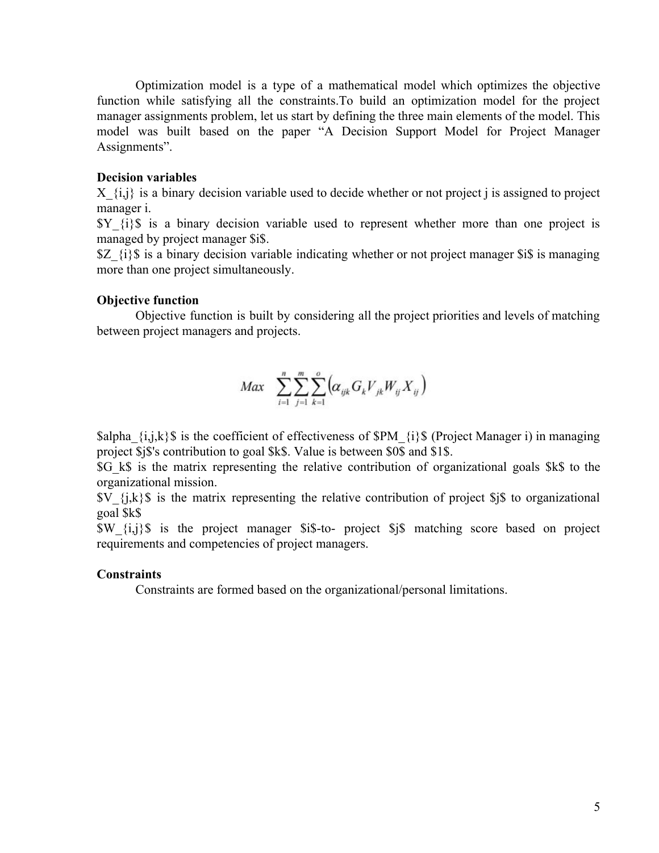Optimization model is a type of a mathematical model which optimizes the objective function while satisfying all the constraints.To build an optimization model for the project manager assignments problem, let us start by defining the three main elements of the model. This model was built based on the paper "A Decision Support Model for Project Manager Assignments".

#### **Decision variables**

 $X_{i,j}$  is a binary decision variable used to decide whether or not project j is assigned to project manager i.

 $Y_{i}$   $\{i\}$  is a binary decision variable used to represent whether more than one project is managed by project manager \$i\$.

 $Z_{i}$  {i}\$ is a binary decision variable indicating whether or not project manager \$i\$ is managing more than one project simultaneously.

#### **Objective function**

Objective function is built by considering all the project priorities and levels of matching between project managers and projects.

$$
Max \sum_{i=1}^{n} \sum_{j=1}^{m} \sum_{k=1}^{o} \left( \alpha_{ijk} G_{k} V_{jk} W_{ij} X_{ij} \right)
$$

 $\alpha_{i,j,k}$  is the coefficient of effectiveness of  $\text{SPM}$  {i}\$ (Project Manager i) in managing project \$j\$'s contribution to goal \$k\$. Value is between \$0\$ and \$1\$.

\$G\_k\$ is the matrix representing the relative contribution of organizational goals \$k\$ to the organizational mission.

 $V_{i,k}$  {j,k}\$ is the matrix representing the relative contribution of project \$j\$ to organizational goal \$k\$

\$W\_{i,j}\$ is the project manager \$i\$-to- project \$j\$ matching score based on project requirements and competencies of project managers.

#### **Constraints**

Constraints are formed based on the organizational/personal limitations.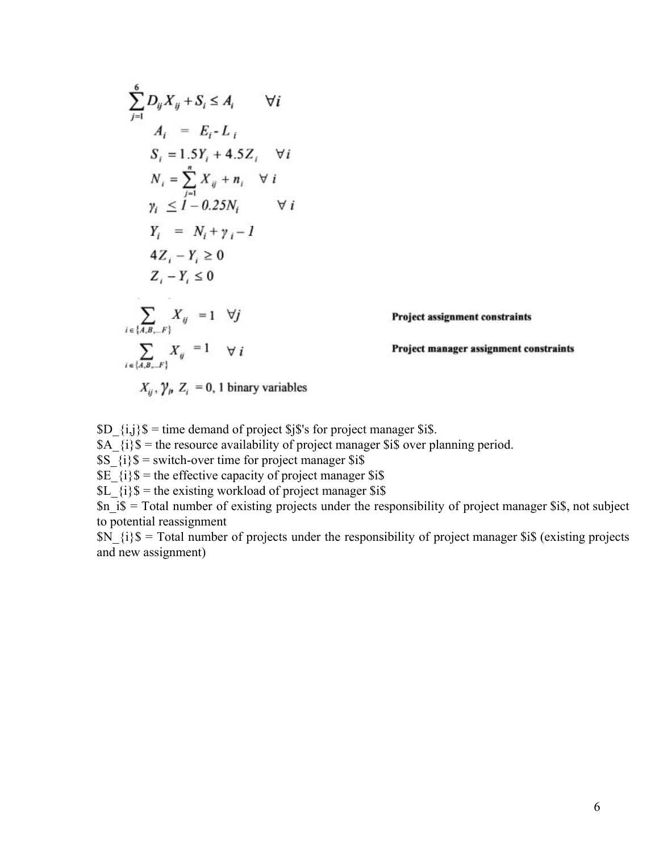$$
\sum_{j=1}^{6} D_{ij} X_{ij} + S_i \leq A_i \qquad \forall i
$$
\n
$$
A_i = E_i - L_i
$$
\n
$$
S_i = 1.5Y_i + 4.5Z_i \qquad \forall i
$$
\n
$$
N_i = \sum_{j=1}^{n} X_{ij} + n_i \qquad \forall i
$$
\n
$$
\gamma_i \leq 1 - 0.25N_i \qquad \forall i
$$
\n
$$
Y_i = N_i + \gamma_i - 1
$$
\n
$$
4Z_i - Y_i \geq 0
$$
\n
$$
Z_i - Y_i \leq 0
$$
\n
$$
\sum_{i \in \{A, B, \ldots F\}} X_{ij} = 1 \qquad \forall j
$$
\nProject assignment constraints\n
$$
\sum_{i \in \{A, B, \ldots F\}} X_{ij} = 1 \qquad \forall i
$$
\nProject management constraints\n
$$
X_{ij}, \gamma_p Z_i = 0, 1 \text{ binary variables}
$$

 $SD_{i,j}$  \$ = time demand of project \$j\$'s for project manager \$i\$.

 $\overrightarrow{AA}$   $\overrightarrow{i}$   $\overrightarrow{s}$  = the resource availability of project manager \$i\$ over planning period.

 $SS_{i}$  {i}\$ = switch-over time for project manager \$i\$

 $\overline{\$E_{i}}\$  = the effective capacity of project manager  $\overline{\$i\$}$ 

 $SL^{-}{i}$ ;  $\$ =$  the existing workload of project manager \$i\$

 $\sin 1\hat{s}$  = Total number of existing projects under the responsibility of project manager  $\sin$ , not subject to potential reassignment

 $SN_{i}$  {i}\$ = Total number of projects under the responsibility of project manager \$i\$ (existing projects and new assignment)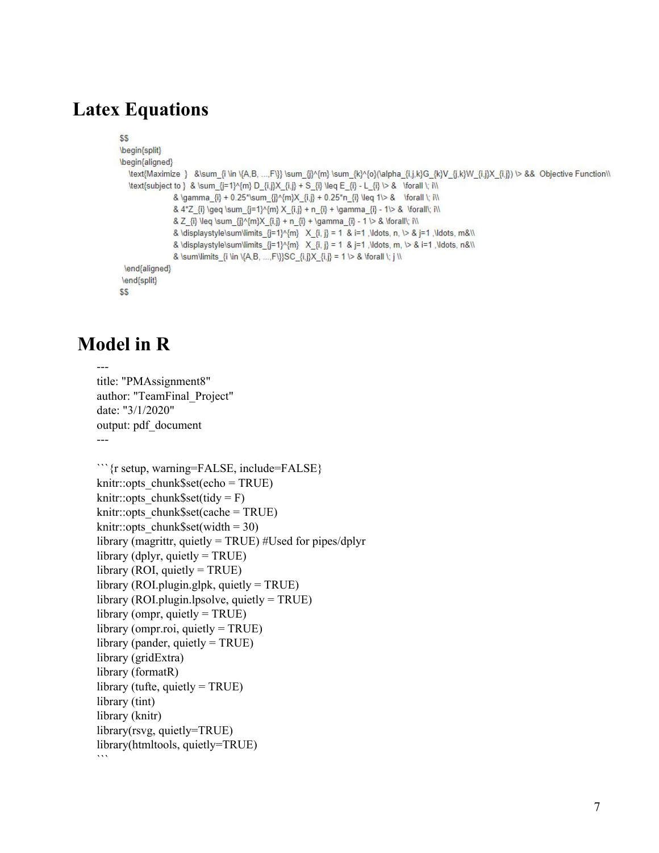### <span id="page-9-0"></span>**Latex Equations**

```
$S
\begin{split}
\begin{aligned}
  \text{Maximize } &\sum {i \in \{A,B, ...,F\}} \sum {i}^{m} \sum {k}^{o}\(alpha {i,j,k}G {k}V {j,k}W {i,j}X {i,j}) \> && Objective Function\\
  \text{subject to } & \sum {j=1}^{m} D {i,j}X {i,j} + S {i} \leq E {i} - L {i} \ \> & \forall \; i\\
                & \gamma_{i} + 0.25*\sum_{j}^{m}X_{i,j} + 0.25*n_{i} \leq 1\> & \forall \; i\\
                & 4*Z_{i} \geq \sum_{j=1}^{m} X_{i,j} + n_{i} + \gamma_{i} - 1\> & \forall\; i\\
                & Z_{i} \leq \sum_{j}^{m}X_{i,j} + n_{i} + \gamma_{i} - 1 \> & \forall\; i\\
                & \displaystyle\sum\limits \{j=1\}^N{m} X \{i, j\} = 1 & i=1 ,\ldots, n, \triangleright & j=1 ,\ldots, m&\\
                & \displaystyle\sum\limits_{j=1}^{m} X_{i, j} = 1 & j=1, \ldots, m, \> & i=1, \ldots, n&\\
                & \sum\limits {i \in \{A,B, ...,F\}\SC {i,j}X {i,j} = 1 \> & \forall \; j \\
 \end{aligned}
\end{split}
$S
```
### <span id="page-9-1"></span>**Model in R**

```
---
title: "PMAssignment8"
author: "TeamFinal_Project"
date: "3/1/2020"
output: pdf_document
---
```{r setup, warning=FALSE, include=FALSE}
knitr::opts_chunk$set(echo = TRUE)
knitr::opts chunk$set(tidy = F)
knitr::opts_chunk$set(cache = TRUE)
knitr::opts chunk$set(width = 30)
library (magrittr, quietly = TRUE) #Used for pipes/dplyr
library (dplyr, quietly = TRUE)
library (ROI, quietly = TRUE)
library (ROI.plugin.glpk, quietly = TRUE)
library (ROI.plugin.lpsolve, quietly = TRUE)
library (ompr, quietly = TRUE)
library (ompr.roi, quietly = TRUE)
library (pander, quietly = TRUE)
library (gridExtra)
library (formatR)
library (tufte, quietly = TRUE)
library (tint)
library (knitr)
library(rsvg, quietly=TRUE)
library(htmltools, quietly=TRUE)
```
```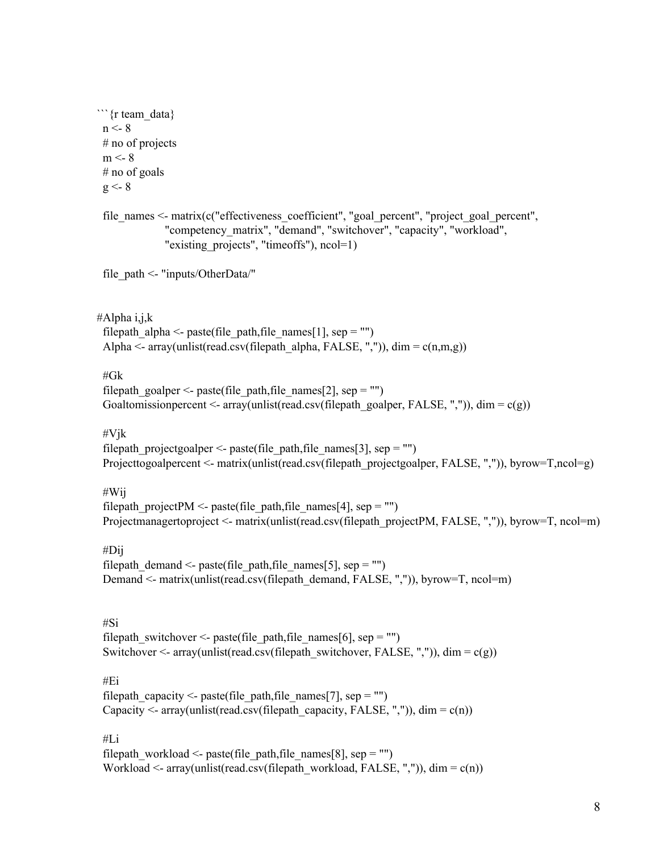```
```{r team_data}
 n < 8# no of projects
 m < -8# no of goals
 g \leq -8file_names \le- matrix(c("effectiveness_coefficient", "goal_percent", "project_goal_percent",
              "competency_matrix", "demand", "switchover", "capacity", "workload",
              "existing projects", "timeoffs"), ncol=1)
 file_path <- "inputs/OtherData/"
#Alpha i,j,k
 filepath alpha <- paste(file path,file names[1], sep = "")
 Alpha \leq- array(unlist(read.csv(filepath_alpha, FALSE, ",")), dim = c(n,m,g))
 #Gk
 filepath_goalper <- paste(file_path,file_names[2], sep = "")
 Goaltomissionpercent \leq array(unlist(read.csv(filepath_goalper, FALSE, ",")), dim = c(g))
 #Vjk
 filepath projectgoalper \leq- paste(file path,file names[3], sep = "")
 Projecttogoalpercent <- matrix(unlist(read.csv(filepath_projectgoalper, FALSE, ",")), byrow=T,ncol=g)
 #Wij
```
filepath projectPM <- paste(file path,file names[4], sep = "") Projectmanagertoproject <- matrix(unlist(read.csv(filepath\_projectPM, FALSE, ",")), byrow=T, ncol=m)

#Dij

filepath demand  $\leq$ - paste(file path,file names[5], sep = "") Demand <- matrix(unlist(read.csv(filepath\_demand, FALSE, ",")), byrow=T, ncol=m)

#Si

filepath\_switchover <- paste(file\_path,file\_names[6], sep = "") Switchover  $\leq$ - array(unlist(read.csv(filepath\_switchover, FALSE, ",")), dim = c(g))

#Ei

filepath capacity  $\leq$ - paste(file path,file names[7], sep = "") Capacity <- array(unlist(read.csv(filepath\_capacity, FALSE, ",")), dim = c(n))

#Li

filepath\_workload <- paste(file\_path,file\_names[8], sep = "") Workload  $\leq$ - array(unlist(read.csv(filepath\_workload, FALSE, ",")), dim = c(n))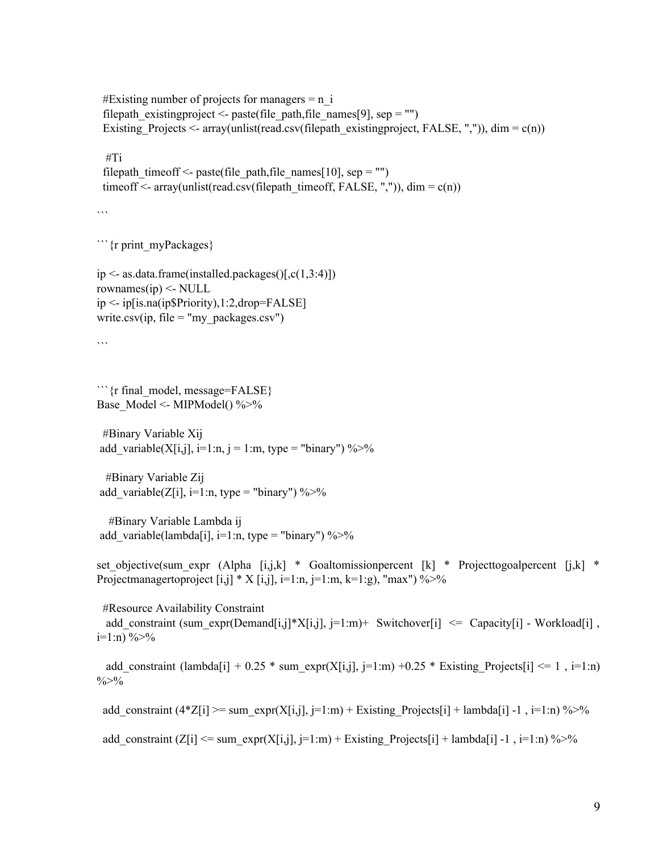#Existing number of projects for managers  $= n$  i filepath existing project  $\leq$ - paste (file path, file names [9], sep = "") Existing Projects  $\leq$  array(unlist(read.csv(filepath existingproject, FALSE, ",")), dim = c(n))

#Ti

```
filepath timeoff \leq- paste(file path,file names[10], sep = "")
timeoff \leq- array(unlist(read.csv(filepath_timeoff, FALSE, ",")), dim = c(n))
```
 $\ddot{\cdots}$ 

```{r print\_myPackages}

```
ip \leq- as.data.frame(installed.packages()[,c(1,3:4)])
rownames(ip) \leq- NULL
ip <- ip[is.na(ip$Priority),1:2,drop=FALSE]
write.csv(ip, file = "my_packages.csv")
```
 $\overline{\cdots}$ 

```{r final\_model, message=FALSE} Base Model <- MIPModel()  $\%$  >%

#Binary Variable Xij add variable(X[i,j], i=1:n, j = 1:m, type = "binary") %>%

#Binary Variable Zij add variable(Z[i], i=1:n, type = "binary") %>%

#Binary Variable Lambda ij add variable(lambda[i], i=1:n, type = "binary") %>%

set objective(sum expr (Alpha [i,j,k] \* Goaltomissionpercent [k] \* Projecttogoalpercent [j,k] \* Projectmanagertoproject [i,j] \* X [i,j], i=1:n, j=1:m, k=1:g), "max") %>%

#Resource Availability Constraint add\_constraint (sum\_expr(Demand[i,j]\*X[i,j], j=1:m)+ Switchover[i]  $\leq$  Capacity[i] - Workload[i] ,

```
i=1:n) %>%
```
add constraint (lambda[i] + 0.25  $*$  sum expr(X[i,j], j=1:m) +0.25  $*$  Existing Projects[i]  $\leq 1$ , i=1:n)  $\frac{0}{0}$  >%

add\_constraint (4\*Z[i] >= sum\_expr(X[i,j], j=1:m) + Existing\_Projects[i] + lambda[i] -1 , i=1:n) %>%

add\_constraint  $(Z[i] \leq sum \, \text{expr}(X[i,j], j=1:m) + \text{Existing} \, \text{Projects}[i] + lambda[i] -1, i=1:n) \% > %$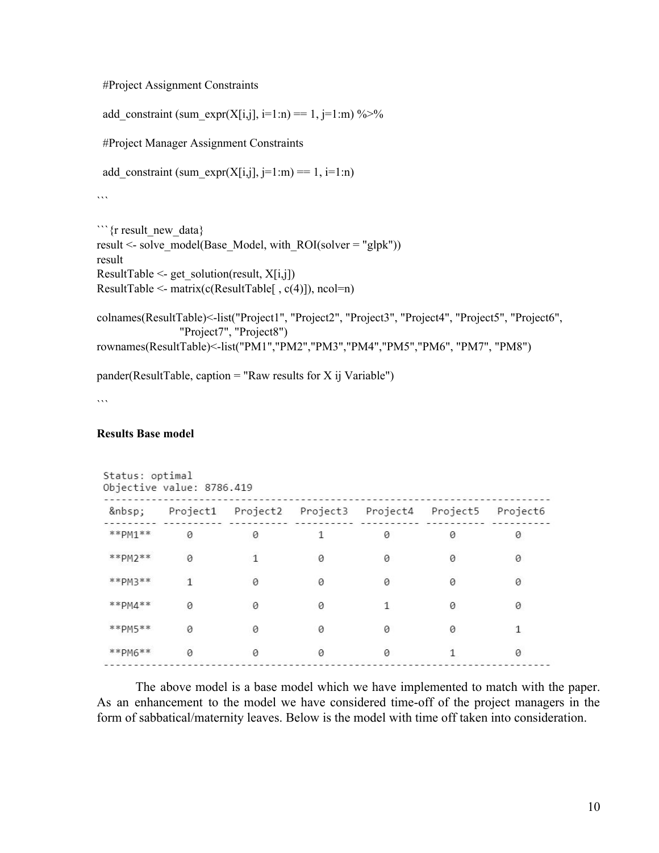#### #Project Assignment Constraints

add\_constraint (sum\_expr(X[i,j], i=1:n) == 1, j=1:m) %>%

#Project Manager Assignment Constraints

add\_constraint (sum\_expr(X[i,j], j=1:m) == 1, i=1:n)

 $\ddot{\cdots}$ 

```
```{r result_new_data}
result <- solve model(Base Model, with_ROI(solver = "glpk"))
result
ResultTable \leq- get solution(result, X[i,j])
ResultTable <- matrix(c(ResultTable[ , c(4)]), ncol=n)
```

```
colnames(ResultTable)<-list("Project1", "Project2", "Project3", "Project4", "Project5", "Project6",
                "Project7", "Project8")
rownames(ResultTable)<-list("PM1","PM2","PM3","PM4","PM5","PM6", "PM7", "PM8")
```
 $pander(ResultTable, caption = "Raw results for X ij Variable")$ 

. . .

#### **Results Base model**

|                       | Status: optimal<br>Objective value: 8786.419 |                            |                            |          |          |          |
|-----------------------|----------------------------------------------|----------------------------|----------------------------|----------|----------|----------|
|                       | Project1                                     |                            | Project2 Project3 Project4 |          | Project5 | Project6 |
| $*$ $*$ $PM1$ $*$ $*$ | 0                                            | 0                          |                            | 0        | 0        | 0        |
| $*$ $*$ $PM2$ $*$ $*$ | 0                                            |                            | 0                          | 0        | 0        | 0        |
| $* * p_{M}3**$        | 1                                            | $\boldsymbol{\varnothing}$ | 0                          | $\theta$ | 0        | 0        |
| $**PMA**$             | 0                                            | 0                          | 0                          | 1        | 0        | 0        |
| $*$ $*$ $PM5$ $*$ $*$ | 0                                            | 0                          | 0                          | 0        | 0        |          |
| $**PMS**$             | $\theta$                                     | 0                          | 0                          | Ø        |          | $\Omega$ |

The above model is a base model which we have implemented to match with the paper. As an enhancement to the model we have considered time-off of the project managers in the form of sabbatical/maternity leaves. Below is the model with time off taken into consideration.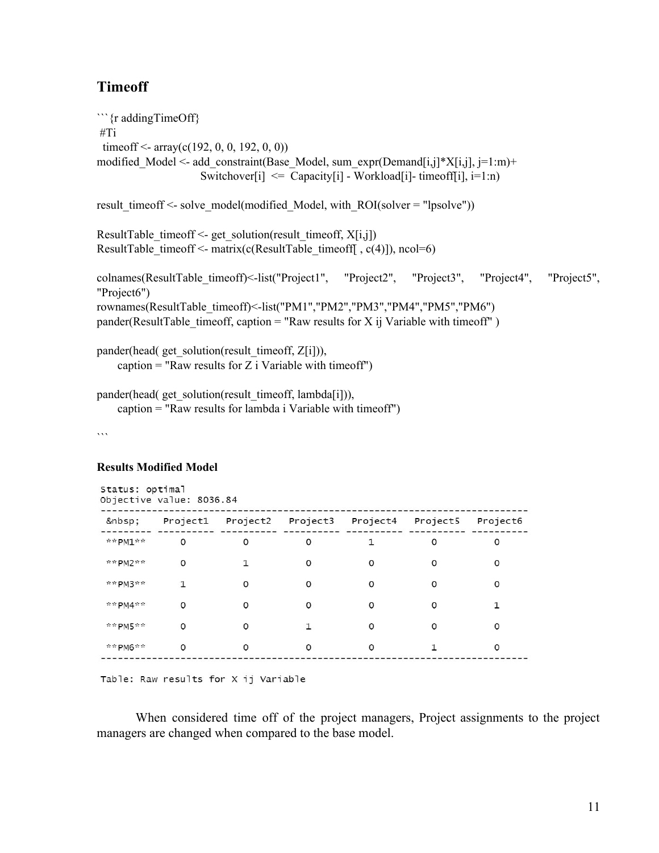#### **Timeoff**

```
```{r addingTimeOff}
#Ti
 timeoff <- array(c(192, 0, 0, 192, 0, 0))modified Model <- add constraint(Base Model, sum expr(Demand[i,j]*X[i,j], j=1:m)+
                      Switchover<sup>[i]</sup> \leq Capacity<sup>[i]</sup> - Workload<sup>[i]</sup>- timeoff<sup>[i]</sup>, i=1:n)
result_timeoff <- solve_model(modified_Model, with_ROI(solver = "lpsolve"))
ResultTable timeoff <- get solution(result timeoff, X[i,j])
ResultTable_timeoff <- matrix(c(ResultTable_timeoff[ , c(4)]), ncol=6)
colnames(ResultTable_timeoff)<-list("Project1", "Project2", "Project3", "Project4", "Project5",
"Project6")
rownames(ResultTable_timeoff)<-list("PM1","PM2","PM3","PM4","PM5","PM6")
pander(ResultTable timeoff, caption = "Raw results for X ii Variable with timeoff")pander(head( get solution(result timeoff, Z[i])),
    caption = "Raw results for Z i Variable with timeoff")
```
pander(head( get solution(result timeoff, lambda[i])), caption = "Raw results for lambda i Variable with timeoff")

 $\cdots$ 

#### **Results Modified Model**

|         | Status: optimal<br>Objective value: 8036.84 |          |          |                                              |         |          |
|---------|---------------------------------------------|----------|----------|----------------------------------------------|---------|----------|
|         |                                             |          |          | Project1 Project2 Project3 Project4 Project5 |         | Project6 |
| **PM1** | 0                                           | $\circ$  | 0        | 1                                            | $\circ$ | $\circ$  |
| **PM2** | 0                                           | 1        | 0        | 0                                            | 0       | 0        |
| **PM3** | 1                                           | 0        | $\Omega$ | 0                                            | O       | 0        |
| **PM4** | 0                                           | 0        | 0        | 0                                            | 0       | 1        |
| **PM5** | $\Omega$                                    | $\Omega$ | 1        | $\Omega$                                     | O       | $\Omega$ |
| **PM6** | $\circ$                                     | 0        | 0        | 0                                            |         | $\circ$  |

Table: Raw results for X ij Variable

When considered time off of the project managers, Project assignments to the project managers are changed when compared to the base model.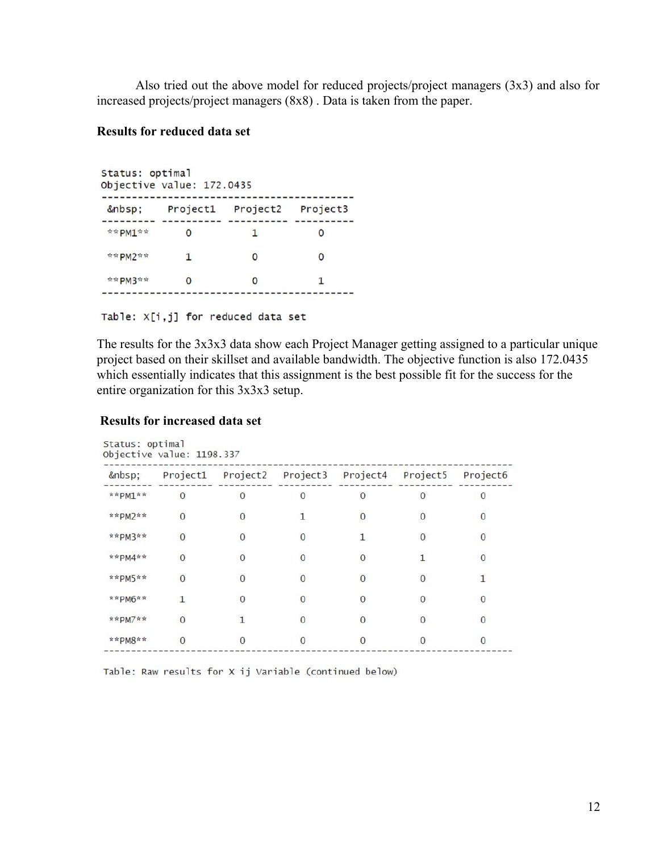Also tried out the above model for reduced projects/project managers (3x3) and also for increased projects/project managers (8x8) . Data is taken from the paper.

#### **Results for reduced data set**

Status: optimal Objective value: 172.0435 Project1 Project2 Project3  $*$   $*$  PM1\*\* 0 1 0  $*$  \* PM2\*\*  $1$  0  $\circ$ \*\*PM3\*\* 0  $\circ$  $\mathbf{1}$ 

Table: X[i,j] for reduced data set

The results for the 3x3x3 data show each Project Manager getting assigned to a particular unique project based on their skillset and available bandwidth. The objective function is also 172.0435 which essentially indicates that this assignment is the best possible fit for the success for the entire organization for this 3x3x3 setup.

#### **Results for increased data set**

|                    | Project1       | Project2     | Project3       | Project4 | Project5     | Project <sub>6</sub> |
|--------------------|----------------|--------------|----------------|----------|--------------|----------------------|
| **PM1**            | $\overline{0}$ | $\Omega$     | 0              | O        | $\Omega$     | 0                    |
| $*$ *PM2**         | $\mathbf{0}$   | $\Omega$     | 1              | $\Omega$ | $\Omega$     | $\mathbf{0}$         |
| **PM3**            | 0              | $\mathbf{0}$ | $\bf{0}$       |          | $\bf{0}$     | 0                    |
| **PM4**            | $\overline{0}$ | $\Omega$     | $\bf{0}$       | $\Omega$ |              | $\Omega$             |
| $*$ <b>*PM5</b> ** | $\mathbf{0}$   | O            | $\mathbf{0}$   |          | $\Omega$     |                      |
| **PM6**            | 1              |              | $\Omega$       | O        | $\Omega$     | 0                    |
| $*$ *PM7**         | $\overline{0}$ |              | $\overline{0}$ |          | $\mathbf{0}$ | 0                    |
| $*$ *PM8**         | $\Omega$       | $\Omega$     | $\Omega$       | $\Omega$ | $\Omega$     | O                    |

Table: Raw results for X ij Variable (continued below)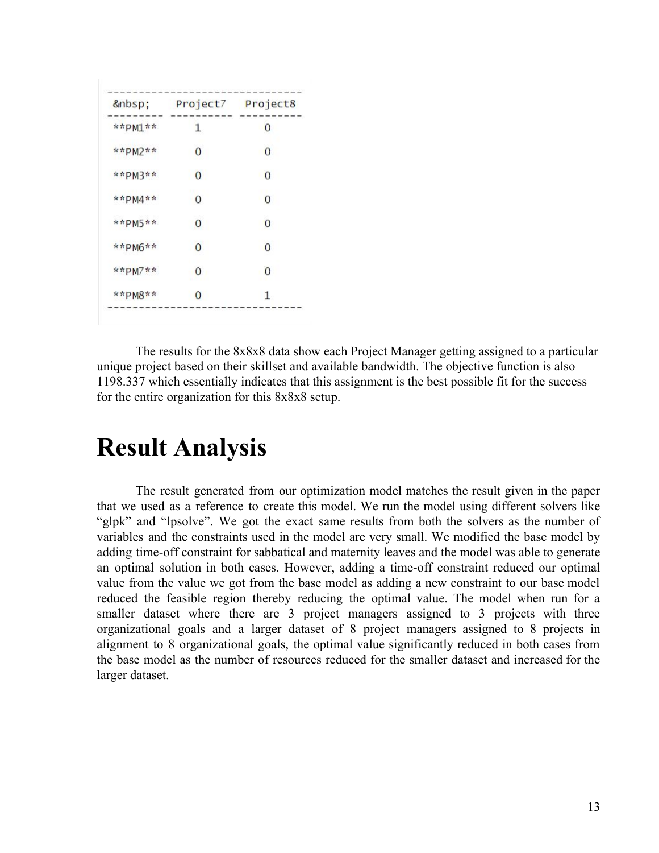|             | Project7 | Project8       |
|-------------|----------|----------------|
| ** $PM1$ ** | 1        | 0              |
| ** $PM2$ ** | 0        | $\overline{0}$ |
| **PM3**     | 0        | 0              |
| **PM4**     | $\Omega$ | $\Omega$       |
| ** $PM5$ ** | 0        | $\Omega$       |
| ** PM6**    | 0        | $\Omega$       |
| ** $PM7$ ** | 0        | $\Omega$       |
| **PM8**     | О        | 1              |

The results for the 8x8x8 data show each Project Manager getting assigned to a particular unique project based on their skillset and available bandwidth. The objective function is also 1198.337 which essentially indicates that this assignment is the best possible fit for the success for the entire organization for this 8x8x8 setup.

### <span id="page-15-0"></span>**Result Analysis**

The result generated from our optimization model matches the result given in the paper that we used as a reference to create this model. We run the model using different solvers like "glpk" and "lpsolve". We got the exact same results from both the solvers as the number of variables and the constraints used in the model are very small. We modified the base model by adding time-off constraint for sabbatical and maternity leaves and the model was able to generate an optimal solution in both cases. However, adding a time-off constraint reduced our optimal value from the value we got from the base model as adding a new constraint to our base model reduced the feasible region thereby reducing the optimal value. The model when run for a smaller dataset where there are 3 project managers assigned to 3 projects with three organizational goals and a larger dataset of 8 project managers assigned to 8 projects in alignment to 8 organizational goals, the optimal value significantly reduced in both cases from the base model as the number of resources reduced for the smaller dataset and increased for the larger dataset.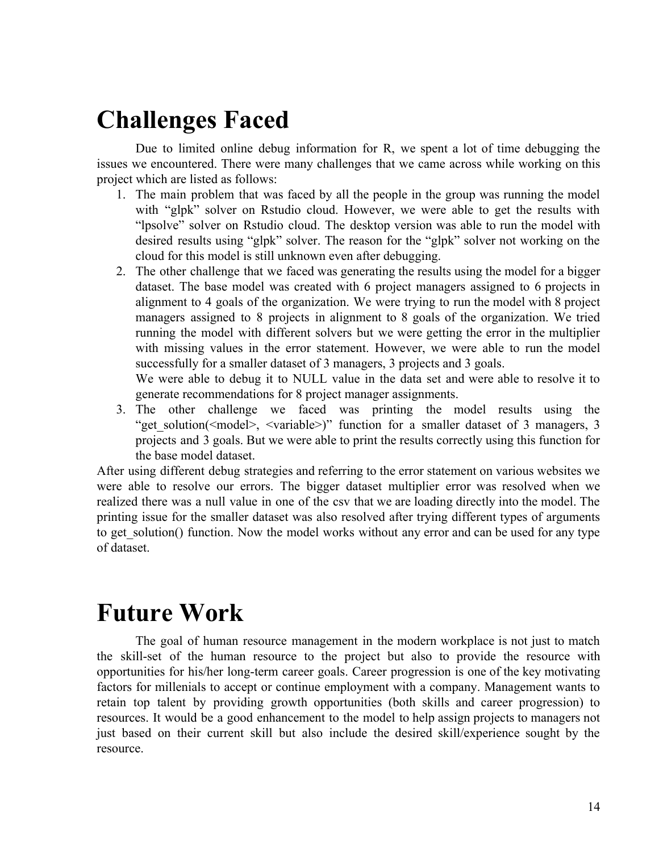# <span id="page-16-0"></span>**Challenges Faced**

Due to limited online debug information for R, we spent a lot of time debugging the issues we encountered. There were many challenges that we came across while working on this project which are listed as follows:

- 1. The main problem that was faced by all the people in the group was running the model with "glpk" solver on Rstudio cloud. However, we were able to get the results with "lpsolve" solver on Rstudio cloud. The desktop version was able to run the model with desired results using "glpk" solver. The reason for the "glpk" solver not working on the cloud for this model is still unknown even after debugging.
- 2. The other challenge that we faced was generating the results using the model for a bigger dataset. The base model was created with 6 project managers assigned to 6 projects in alignment to 4 goals of the organization. We were trying to run the model with 8 project managers assigned to 8 projects in alignment to 8 goals of the organization. We tried running the model with different solvers but we were getting the error in the multiplier with missing values in the error statement. However, we were able to run the model successfully for a smaller dataset of 3 managers, 3 projects and 3 goals.

We were able to debug it to NULL value in the data set and were able to resolve it to generate recommendations for 8 project manager assignments.

3. The other challenge we faced was printing the model results using the "get solution( $\leq$ model $\geq$ ,  $\leq$ variable $\geq$ )" function for a smaller dataset of 3 managers, 3 projects and 3 goals. But we were able to print the results correctly using this function for the base model dataset.

After using different debug strategies and referring to the error statement on various websites we were able to resolve our errors. The bigger dataset multiplier error was resolved when we realized there was a null value in one of the csv that we are loading directly into the model. The printing issue for the smaller dataset was also resolved after trying different types of arguments to get solution() function. Now the model works without any error and can be used for any type of dataset.

# <span id="page-16-1"></span>**Future Work**

The goal of human resource management in the modern workplace is not just to match the skill-set of the human resource to the project but also to provide the resource with opportunities for his/her long-term career goals. Career progression is one of the key motivating factors for millenials to accept or continue employment with a company. Management wants to retain top talent by providing growth opportunities (both skills and career progression) to resources. It would be a good enhancement to the model to help assign projects to managers not just based on their current skill but also include the desired skill/experience sought by the resource.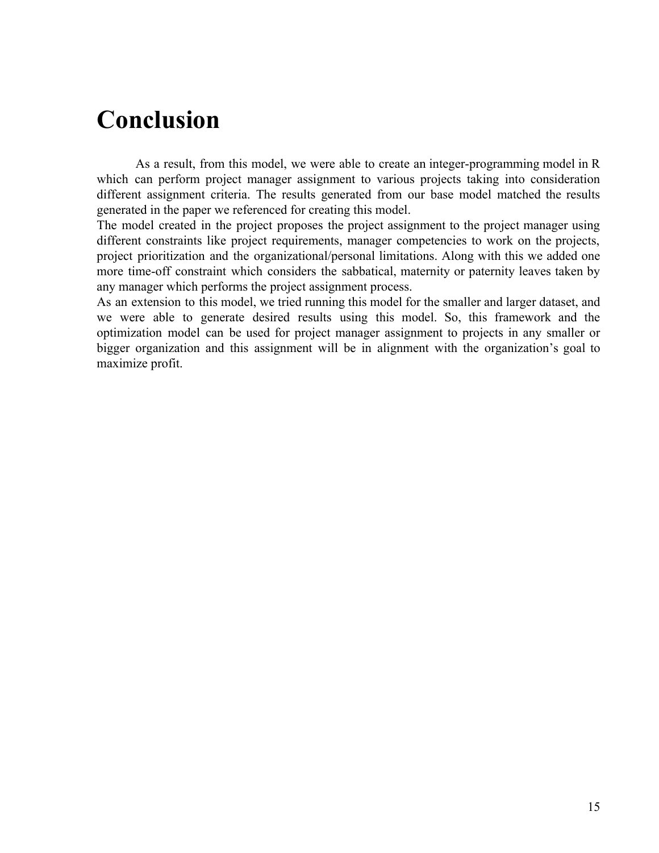# <span id="page-17-0"></span>**Conclusion**

As a result, from this model, we were able to create an integer-programming model in R which can perform project manager assignment to various projects taking into consideration different assignment criteria. The results generated from our base model matched the results generated in the paper we referenced for creating this model.

The model created in the project proposes the project assignment to the project manager using different constraints like project requirements, manager competencies to work on the projects, project prioritization and the organizational/personal limitations. Along with this we added one more time-off constraint which considers the sabbatical, maternity or paternity leaves taken by any manager which performs the project assignment process.

As an extension to this model, we tried running this model for the smaller and larger dataset, and we were able to generate desired results using this model. So, this framework and the optimization model can be used for project manager assignment to projects in any smaller or bigger organization and this assignment will be in alignment with the organization's goal to maximize profit.